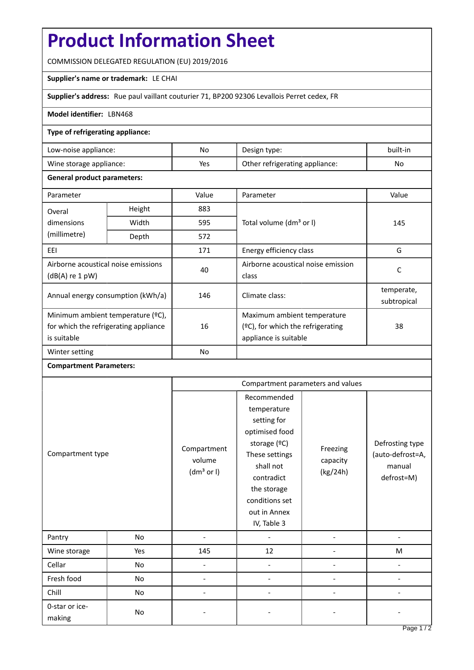# **Product Information Sheet**

COMMISSION DELEGATED REGULATION (EU) 2019/2016

## **Supplier's name or trademark:** LE CHAI

**Supplier's address:** Rue paul vaillant couturier 71, BP200 92306 Levallois Perret cedex, FR

## **Model identifier:** LBN468

## **Type of refrigerating appliance:**

| Low-noise appliance:    | No. | Design type:                   | built-in |
|-------------------------|-----|--------------------------------|----------|
| Wine storage appliance: | Yes | Other refrigerating appliance: | No       |

#### **General product parameters:**

| Parameter                                                                                 |        | Value     | Parameter                                                                                    | Value                     |
|-------------------------------------------------------------------------------------------|--------|-----------|----------------------------------------------------------------------------------------------|---------------------------|
| Overal                                                                                    | Height | 883       |                                                                                              | 145                       |
| dimensions<br>(millimetre)                                                                | Width  | 595       | Total volume (dm <sup>3</sup> or I)                                                          |                           |
|                                                                                           | Depth  | 572       |                                                                                              |                           |
| EEI                                                                                       | 171    |           | Energy efficiency class                                                                      | G                         |
| Airborne acoustical noise emissions<br>$(dB(A)$ re 1 pW)                                  |        | 40        | Airborne acoustical noise emission<br>class                                                  | C                         |
| Annual energy consumption (kWh/a)                                                         |        | 146       | Climate class:                                                                               | temperate,<br>subtropical |
| Minimum ambient temperature (°C),<br>for which the refrigerating appliance<br>is suitable |        | 16        | Maximum ambient temperature<br>$(2C)$ , for which the refrigerating<br>appliance is suitable | 38                        |
| Winter setting                                                                            |        | <b>No</b> |                                                                                              |                           |

#### **Compartment Parameters:**

| Compartment type         |     | Compartment parameters and values               |                                                                                                                                                                                          |                                  |                                                             |
|--------------------------|-----|-------------------------------------------------|------------------------------------------------------------------------------------------------------------------------------------------------------------------------------------------|----------------------------------|-------------------------------------------------------------|
|                          |     | Compartment<br>volume<br>(dm <sup>3</sup> or I) | Recommended<br>temperature<br>setting for<br>optimised food<br>storage (°C)<br>These settings<br>shall not<br>contradict<br>the storage<br>conditions set<br>out in Annex<br>IV, Table 3 | Freezing<br>capacity<br>(kg/24h) | Defrosting type<br>(auto-defrost=A,<br>manual<br>defrost=M) |
| Pantry                   | No  | $\overline{\phantom{a}}$                        |                                                                                                                                                                                          |                                  |                                                             |
| Wine storage             | Yes | 145                                             | 12                                                                                                                                                                                       |                                  | M                                                           |
| Cellar                   | No  |                                                 |                                                                                                                                                                                          |                                  |                                                             |
| Fresh food               | No  |                                                 |                                                                                                                                                                                          |                                  |                                                             |
| Chill                    | No  |                                                 |                                                                                                                                                                                          |                                  |                                                             |
| 0-star or ice-<br>making | No  |                                                 |                                                                                                                                                                                          |                                  |                                                             |